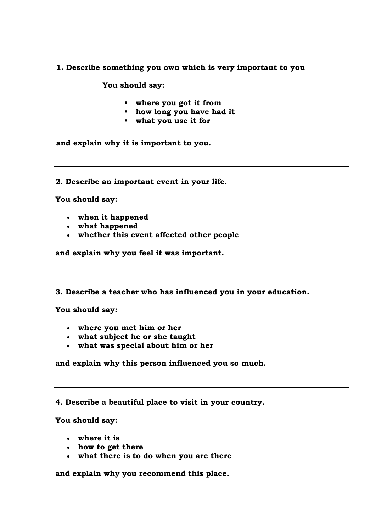**1. Describe something you own which is very important to you**

 **You should say:**

- **where you got it from**
- **how long you have had it**
- **what you use it for**

**and explain why it is important to you.**

**2. Describe an important event in your life.**

**You should say:**

- **when it happened**
- **what happened**
- **whether this event affected other people**

**and explain why you feel it was important.**

**3. Describe a teacher who has influenced you in your education.**

**You should say:**

- **where you met him or her**
- **what subject he or she taught**
- **what was special about him or her**

**and explain why this person influenced you so much.**

**4. Describe a beautiful place to visit in your country.**

**You should say:**

- **where it is**
- **how to get there**
- **what there is to do when you are there**

**and explain why you recommend this place.**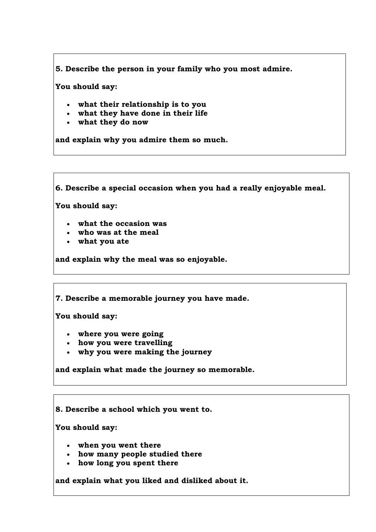**5. Describe the person in your family who you most admire.**

**You should say:**

- **what their relationship is to you**
- **what they have done in their life**
- **what they do now**

**and explain why you admire them so much.**

**6. Describe a special occasion when you had a really enjoyable meal.**

**You should say:**

- **what the occasion was**
- **who was at the meal**
- **what you ate**

**and explain why the meal was so enjoyable.**

**7. Describe a memorable journey you have made.**

**You should say:**

- **where you were going**
- **how you were travelling**
- **why you were making the journey**

**and explain what made the journey so memorable.**

**8. Describe a school which you went to.**

**You should say:**

- **when you went there**
- **how many people studied there**
- **how long you spent there**

**and explain what you liked and disliked about it.**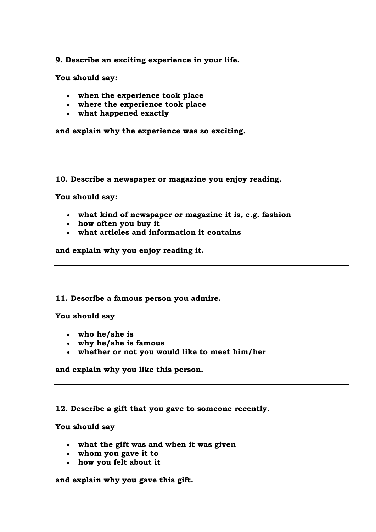**9. Describe an exciting experience in your life.**

**You should say:**

- **when the experience took place**
- **where the experience took place**
- **what happened exactly**

**and explain why the experience was so exciting.**

**10. Describe a newspaper or magazine you enjoy reading.**

**You should say:**

- **what kind of newspaper or magazine it is, e.g. fashion**
- **how often you buy it**
- **what articles and information it contains**

**and explain why you enjoy reading it.**

**11. Describe a famous person you admire.**

**You should say**

- **who he/she is**
- **why he/she is famous**
- **whether or not you would like to meet him/her**

**and explain why you like this person.**

**12. Describe a gift that you gave to someone recently.** 

**You should say**

- **what the gift was and when it was given**
- **whom you gave it to**
- **how you felt about it**

**and explain why you gave this gift.**